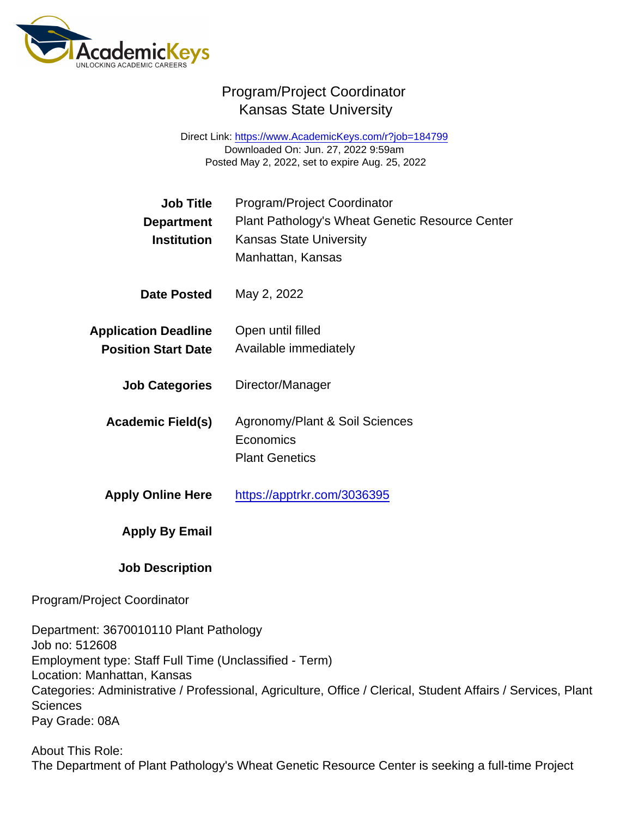Direct Link: <https://www.AcademicKeys.com/r?job=184799> Downloaded On: Jun. 27, 2022 9:59am Posted May 2, 2022, set to expire Aug. 25, 2022

| Job Title                   | Program/Project Coordinator                     |
|-----------------------------|-------------------------------------------------|
| Department                  | Plant Pathology's Wheat Genetic Resource Center |
| Institution                 | <b>Kansas State University</b>                  |
|                             | Manhattan, Kansas                               |
| Date Posted                 | May 2, 2022                                     |
| <b>Application Deadline</b> | Open until filled                               |
| <b>Position Start Date</b>  | Available immediately                           |
| <b>Job Categories</b>       | Director/Manager                                |
| Academic Field(s)           | Agronomy/Plant & Soil Sciences                  |
|                             | Economics                                       |
|                             | <b>Plant Genetics</b>                           |
| <b>Apply Online Here</b>    | https://apptrkr.com/3036395                     |
| Apply By Email              |                                                 |
| <b>Job Description</b>      |                                                 |

Program/Project Coordinator

Department: 3670010110 Plant Pathology Job no: 512608 Employment type: Staff Full Time (Unclassified - Term) Location: Manhattan, Kansas Categories: Administrative / Professional, Agriculture, Office / Clerical, Student Affairs / Services, Plant **Sciences** Pay Grade: 08A

About This Role: The Department of Plant Pathology's Wheat Genetic Resource Center is seeking a full-time Project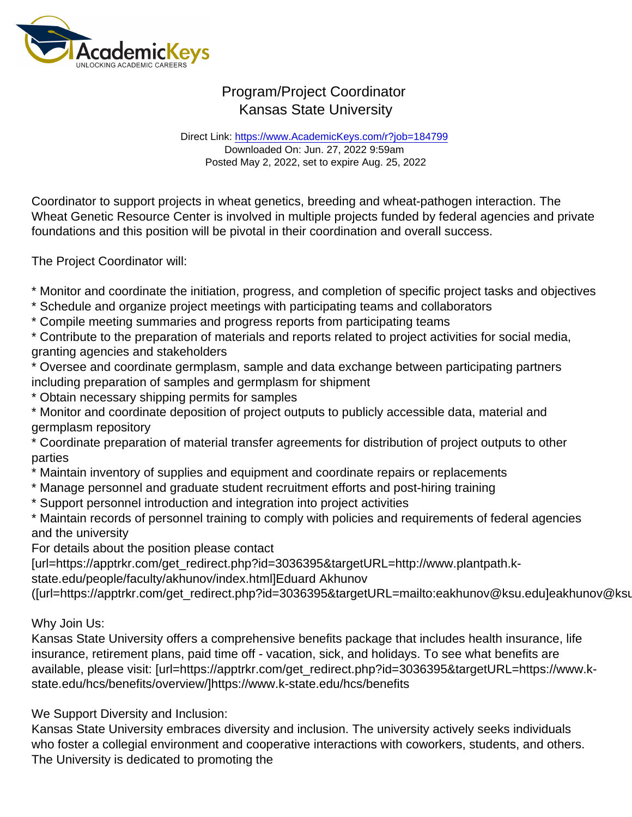Direct Link: <https://www.AcademicKeys.com/r?job=184799> Downloaded On: Jun. 27, 2022 9:59am Posted May 2, 2022, set to expire Aug. 25, 2022

Coordinator to support projects in wheat genetics, breeding and wheat-pathogen interaction. The Wheat Genetic Resource Center is involved in multiple projects funded by federal agencies and private foundations and this position will be pivotal in their coordination and overall success.

The Project Coordinator will:

- \* Monitor and coordinate the initiation, progress, and completion of specific project tasks and objectives
- \* Schedule and organize project meetings with participating teams and collaborators
- \* Compile meeting summaries and progress reports from participating teams

\* Contribute to the preparation of materials and reports related to project activities for social media, granting agencies and stakeholders

\* Oversee and coordinate germplasm, sample and data exchange between participating partners including preparation of samples and germplasm for shipment

\* Obtain necessary shipping permits for samples

\* Monitor and coordinate deposition of project outputs to publicly accessible data, material and germplasm repository

\* Coordinate preparation of material transfer agreements for distribution of project outputs to other parties

- \* Maintain inventory of supplies and equipment and coordinate repairs or replacements
- \* Manage personnel and graduate student recruitment efforts and post-hiring training
- \* Support personnel introduction and integration into project activities

\* Maintain records of personnel training to comply with policies and requirements of federal agencies and the university

For details about the position please contact

[url=https://apptrkr.com/get\_redirect.php?id=3036395&targetURL=http://www.plantpath.kstate.edu/people/faculty/akhunov/index.html]Eduard Akhunov

([url=https://apptrkr.com/get\_redirect.php?id=3036395&targetURL=mailto:eakhunov@ksu.edu]eakhunov@ksu.edu).

Why Join Us:

Kansas State University offers a comprehensive benefits package that includes health insurance, life insurance, retirement plans, paid time off - vacation, sick, and holidays. To see what benefits are available, please visit: [url=https://apptrkr.com/get\_redirect.php?id=3036395&targetURL=https://www.kstate.edu/hcs/benefits/overview/]https://www.k-state.edu/hcs/benefits

We Support Diversity and Inclusion:

Kansas State University embraces diversity and inclusion. The university actively seeks individuals who foster a collegial environment and cooperative interactions with coworkers, students, and others. The University is dedicated to promoting the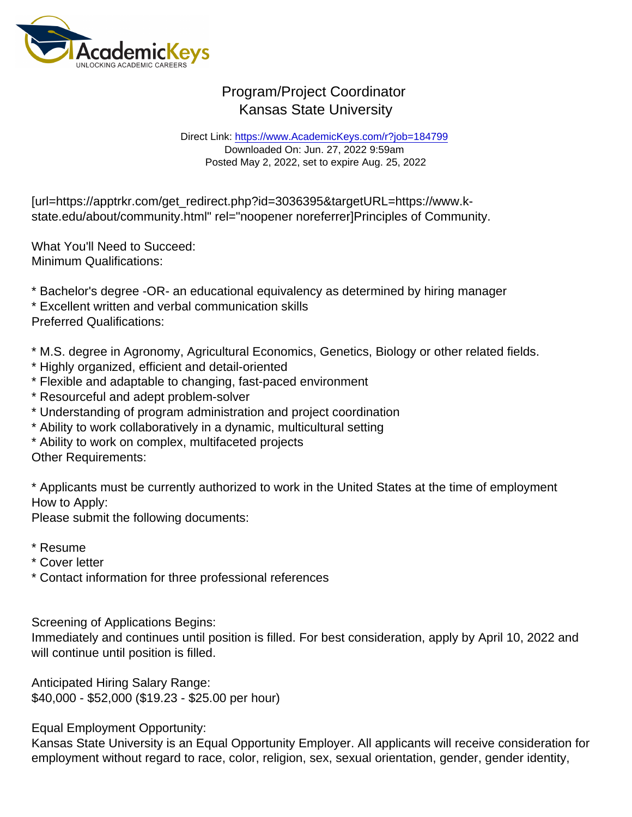Direct Link: <https://www.AcademicKeys.com/r?job=184799> Downloaded On: Jun. 27, 2022 9:59am Posted May 2, 2022, set to expire Aug. 25, 2022

[url=https://apptrkr.com/get\_redirect.php?id=3036395&targetURL=https://www.kstate.edu/about/community.html" rel="noopener noreferrer]Principles of Community.

What You'll Need to Succeed: Minimum Qualifications:

\* Bachelor's degree -OR- an educational equivalency as determined by hiring manager

\* Excellent written and verbal communication skills

Preferred Qualifications:

\* M.S. degree in Agronomy, Agricultural Economics, Genetics, Biology or other related fields.

- \* Highly organized, efficient and detail-oriented
- \* Flexible and adaptable to changing, fast-paced environment
- \* Resourceful and adept problem-solver
- \* Understanding of program administration and project coordination
- \* Ability to work collaboratively in a dynamic, multicultural setting
- \* Ability to work on complex, multifaceted projects

Other Requirements:

\* Applicants must be currently authorized to work in the United States at the time of employment How to Apply:

Please submit the following documents:

- \* Resume
- \* Cover letter
- \* Contact information for three professional references

Screening of Applications Begins:

Immediately and continues until position is filled. For best consideration, apply by April 10, 2022 and will continue until position is filled.

Anticipated Hiring Salary Range: \$40,000 - \$52,000 (\$19.23 - \$25.00 per hour)

Equal Employment Opportunity:

Kansas State University is an Equal Opportunity Employer. All applicants will receive consideration for employment without regard to race, color, religion, sex, sexual orientation, gender, gender identity,